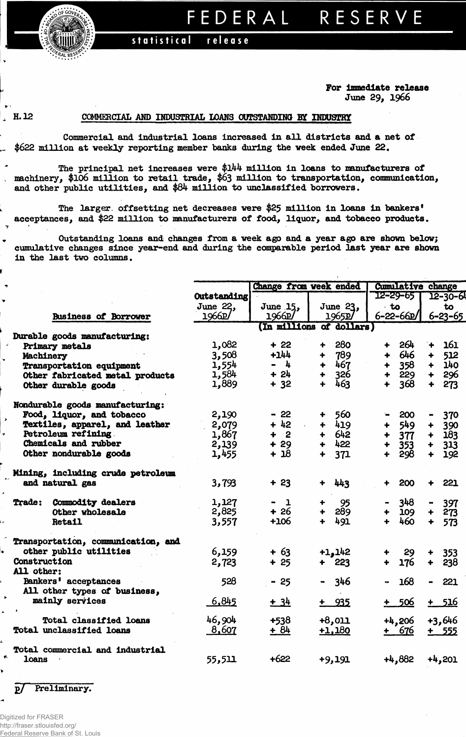PERAL RESERS

## statistical release

For Immediate release June 29, 1966

 $\mathbf{A}$ 

 $\cdot$ 

 $\rightarrow$ 

 $\sim$ د

 $\lambda$ 

## H. 12 COMMERCIAL AND INDUSTRIAL LOANS OUTSTANDING BY INDUSTRY

Commercial and industrial loans increased in all districts and a net of \$622 million at weekly reporting member banks during the week ended June 22.

The principal net increases were \$144 million in loans to manufacturers of machinery, **\$106** million to retail trade, **\$63** million to transportation, communication, and other public utilities, and \$84 million to unclassified borrowers.

The larger, offsetting net decreases were \$25 million in loans in bankers' acceptances, and \$22 million to manufacturers of food, liquor, and tobacco products.

Outstanding loans and changes from a week ago and a year ago are shown below; cumulative changes since year-end and during the comparable period last year are shown in the last two columns.

|                                    |                    | <b>Cumulative change</b> |                             |                             |                             |  |
|------------------------------------|--------------------|--------------------------|-----------------------------|-----------------------------|-----------------------------|--|
|                                    |                    | Change from week ended   |                             |                             |                             |  |
|                                    | <b>Outstanding</b> |                          |                             | 12-29-65                    | $12 - 30 - 61$              |  |
|                                    | June 22,           | June 15,                 | June 23,                    | $\cdot$ to                  | $\mathbf{t}$                |  |
| <b>Business of Borrower</b>        | 1966 <sub>p</sub>  | 1966P                    | 1965P                       | $6 - 22 - 66p$              | $6 - 23 - 65$               |  |
|                                    |                    |                          | (In millions of dollars)    |                             |                             |  |
| Durable goods manufacturing:       |                    |                          |                             |                             |                             |  |
| Primary metals                     | 1,082              | $+22$                    | 280<br>۰                    | 264                         | 161<br>$+$                  |  |
| Machinery                          | 3,508              | $+144$                   | 789<br>۰                    | 646<br>$\ddot{\phantom{1}}$ | 512<br>$\ddot{\phantom{1}}$ |  |
| Transportation equipment           | 1,554              | $-4$                     | 467<br>$+$                  | 358<br>$\bullet$            | 140<br>$+$                  |  |
| Other fabricated metal products    | 1,584              | $+24$                    | 326<br>$\ddot{\phantom{1}}$ | 229<br>$\ddot{\phantom{1}}$ | 296<br>$+$                  |  |
|                                    | 1,889              | $+ 32$                   | 463<br>$\ddot{\bullet}$     | 368<br>$\ddot{\phantom{1}}$ | 273<br>$+$                  |  |
| Other durable goods                |                    |                          |                             |                             |                             |  |
| Nondurable goods manufacturing:    |                    |                          |                             |                             |                             |  |
| Food, liquor, and tobacco          | 2,190              | $-22$                    | $+ 560$                     | 200                         | 370                         |  |
| Textiles, apparel, and leather     | 2,079              | + 42                     | $+ 419$                     | 549<br>$\ddot{\phantom{1}}$ | 390<br>$\ddot{\phantom{1}}$ |  |
| Petroleum refining                 | 1,867              | $+2$                     | $+ 642$                     | 377<br>$\ddotmark$          | 183<br>$+$                  |  |
| Chemicals and rubber               | 2,139              | $+29$                    | $+ 422$                     | 353<br>÷                    | $+ 313$                     |  |
| Other nondurable goods             | 1,455              | $+18$                    | $+ 371$                     | 298<br>÷                    | $\ddot{\bullet}$            |  |
|                                    |                    |                          |                             |                             | 192                         |  |
| Mining, including crude petroleum  |                    |                          |                             |                             |                             |  |
| and natural gas                    | 3,793              | $+23$                    | $+ 443$                     | 200<br>÷                    | 221<br>$\ddotmark$          |  |
| <b>Trade: Commodity dealers</b>    | 1,127              | $-1$                     | 95                          | 348                         | 397<br>$\blacksquare$       |  |
| Other wholesale                    | 2,825              | $+26$                    | 289<br>$+$                  | 109<br>$\ddot{\phantom{1}}$ | 273<br>$+$                  |  |
| <b>Retail</b>                      | 3,557              | $+106$                   | 491<br>$\ddot{\bullet}$     | 460<br>$\ddotmark$          | 573<br>$\ddot{\phantom{1}}$ |  |
| Transportation, communication, and |                    |                          |                             |                             |                             |  |
| other public utilities             | 6,159              | $+63$                    | $+1,142$                    | 29                          | $+ 353$                     |  |
| Construction                       | 2,723              | $+25$                    | $+ 223$                     | 176<br>$\ddot{\bullet}$     | $+ 238$                     |  |
| All other:                         |                    |                          |                             |                             |                             |  |
| Bankers' acceptances               | 528                | $-25$                    | $-346$                      | 168                         | 221<br>$\blacksquare$       |  |
| All other types of business,       |                    |                          |                             |                             |                             |  |
|                                    |                    |                          |                             |                             |                             |  |
| mainly services                    | 6,845              | $+34$                    | $+ 935$                     | $+ 506$                     | $+ 516$                     |  |
| Total classified loans             | 46,904             | $+538$                   | $+8,011$                    | $+4,206$                    | +3,646                      |  |
| Total unclassified loans           | 8,607              | $+ 84$                   | $+1,180$                    | $+ 676$                     | $+ 555$                     |  |
|                                    |                    |                          |                             |                             |                             |  |
| Total commercial and industrial    |                    |                          |                             |                             |                             |  |
| loans                              | 55,511             | $+622$                   | $+9,191$                    | $+4,882$                    | $+4,201$                    |  |
|                                    |                    |                          |                             |                             |                             |  |

£/ Preliminary.